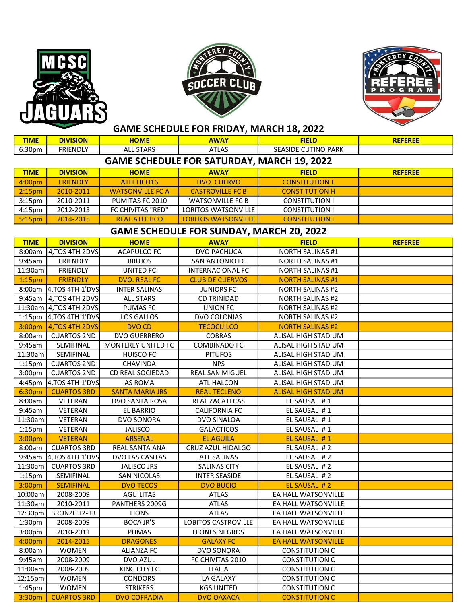





| <b>TIME</b>                                       | <b>DIVISION</b>         | <b>HOME</b>               | <b>AWAY</b>                | <b>FIELD</b>               | <b>REFEREE</b> |  |  |  |  |
|---------------------------------------------------|-------------------------|---------------------------|----------------------------|----------------------------|----------------|--|--|--|--|
| 6:30pm                                            | <b>FRIENDLY</b>         | <b>ALL STARS</b>          | <b>ATLAS</b>               | <b>SEASIDE CUTINO PARK</b> |                |  |  |  |  |
| <b>GAME SCHEDULE FOR SATURDAY, MARCH 19, 2022</b> |                         |                           |                            |                            |                |  |  |  |  |
| <b>TIME</b>                                       | <b>DIVISION</b>         | <b>HOME</b>               | <b>AWAY</b>                | <b>FIELD</b>               | <b>REFEREE</b> |  |  |  |  |
| 4:00pm                                            | <b>FRIENDLY</b>         | ATLETICO16                | <b>DVO. CUERVO</b>         | <b>CONSTITUTION E</b>      |                |  |  |  |  |
| 2:15 <sub>pm</sub>                                | 2010-2011               | <b>WATSONVILLE FC A</b>   | <b>CASTROVILLE FC B</b>    | <b>CONSTITUTION H</b>      |                |  |  |  |  |
| 3:15 <sub>pm</sub>                                | 2010-2011               | PUMITAS FC 2010           | <b>WATSONVILLE FC B</b>    | <b>CONSTITUTION I</b>      |                |  |  |  |  |
| 4:15pm                                            | 2012-2013               | FC CHIVITAS "RED"         | <b>LORITOS WATSONVILLE</b> | <b>CONSTITUTION I</b>      |                |  |  |  |  |
| 5:15pm                                            | 2014-2015               | <b>REAL ATLETICO</b>      | <b>LORITOS WATSONVILLE</b> | <b>CONSTITUTION I</b>      |                |  |  |  |  |
| <b>GAME SCHEDULE FOR SUNDAY, MARCH 20, 2022</b>   |                         |                           |                            |                            |                |  |  |  |  |
| <b>TIME</b>                                       | <b>DIVISION</b>         | <b>HOME</b>               | <b>AWAY</b>                | <b>FIELD</b>               | <b>REFEREE</b> |  |  |  |  |
| 8:00am                                            | 4, TOS 4TH 2DVS         | <b>ACAPULCO FC</b>        | DVO PACHUCA                | <b>NORTH SALINAS #1</b>    |                |  |  |  |  |
| 9:45am                                            | <b>FRIENDLY</b>         | <b>BRUJOS</b>             | SAN ANTONIO FC             | <b>NORTH SALINAS #1</b>    |                |  |  |  |  |
| 11:30am                                           | <b>FRIENDLY</b>         | UNITED FC                 | <b>INTERNACIONAL FC</b>    | <b>NORTH SALINAS #1</b>    |                |  |  |  |  |
| 1:15 <sub>pm</sub>                                | <b>FRIENDLY</b>         | <b>DVO. REAL FC</b>       | <b>CLUB DE CUERVOS</b>     | <b>NORTH SALINAS #1</b>    |                |  |  |  |  |
|                                                   | 8:00am 4, TOS 4TH 1'DVS | <b>INTER SALINAS</b>      | <b>JUNIORS FC</b>          | <b>NORTH SALINAS #2</b>    |                |  |  |  |  |
| 9:45am                                            | 4,TOS 4TH 2DVS          | <b>ALL STARS</b>          | <b>CD TRINIDAD</b>         | <b>NORTH SALINAS #2</b>    |                |  |  |  |  |
|                                                   | 11:30am 4, TOS 4TH 2DVS | <b>PUMAS FC</b>           | <b>UNION FC</b>            | <b>NORTH SALINAS #2</b>    |                |  |  |  |  |
| 1:15 <sub>pm</sub>                                | $4,70$ S 4TH 1'DVS      | LOS GALLOS                | DVO COLONIAS               | <b>NORTH SALINAS #2</b>    |                |  |  |  |  |
| 3:00 <sub>pm</sub>                                | 4,TOS 4TH 2DVS          | <b>DVO CD</b>             | <b>TECOCUILCO</b>          | <b>NORTH SALINAS #2</b>    |                |  |  |  |  |
| 8:00am                                            | <b>CUARTOS 2ND</b>      | <b>DVO GUERRERO</b>       | <b>COBRAS</b>              | ALISAL HIGH STADIUM        |                |  |  |  |  |
| 9:45am                                            | SEMIFINAL               | <b>MONTEREY UNITED FC</b> | <b>COMBINADO FC</b>        | ALISAL HIGH STADIUM        |                |  |  |  |  |
| 11:30am                                           | SEMIFINAL               | <b>HUISCO FC</b>          | <b>PITUFOS</b>             | ALISAL HIGH STADIUM        |                |  |  |  |  |
| $1:15$ pm                                         | <b>CUARTOS 2ND</b>      | <b>CHAVINDA</b>           | <b>NPS</b>                 | ALISAL HIGH STADIUM        |                |  |  |  |  |
| 3:00pm                                            | <b>CUARTOS 2ND</b>      | CD REAL SOCIEDAD          | REAL SAN MIGUEL            | ALISAL HIGH STADIUM        |                |  |  |  |  |
| 4:45pm                                            | 4, TOS 4TH 1'DVS        | AS ROMA                   | ATL HALCON                 | ALISAL HIGH STADIUM        |                |  |  |  |  |
| 6:30pm                                            | <b>CUARTOS 3RD</b>      | <b>SANTA MARIA JRS</b>    | <b>REAL TECLENO</b>        | <b>ALISAL HIGH STADIUM</b> |                |  |  |  |  |
| 8:00am                                            | VETERAN                 | DVO SANTA ROSA            | REAL ZACATECAS             | EL SAUSAL #1               |                |  |  |  |  |
| 9:45am                                            | VETERAN                 | <b>EL BARRIO</b>          | <b>CALIFORNIA FC</b>       | EL SAUSAL #1               |                |  |  |  |  |
| 11:30am                                           | VETERAN                 | DVO SONORA                | DVO SINALOA                | EL SAUSAL #1               |                |  |  |  |  |
| $1:15$ pm                                         | VETERAN                 | <b>JALISCO</b>            | <b>GALACTICOS</b>          | EL SAUSAL #1               |                |  |  |  |  |
| 3:00pm                                            | <b>VETERAN</b>          | <b>ARSENAL</b>            | <b>EL AGUILA</b>           | EL SAUSAL #1               |                |  |  |  |  |
| 8:00am                                            | <b>CUARTOS 3RD</b>      | REAL SANTA ANA            | CRUZ AZUL HIDALGO          | EL SAUSAL #2               |                |  |  |  |  |
|                                                   | 9:45am 4, TOS 4TH 1'DVS | DVO LAS CASITAS           | <b>ATL SALINAS</b>         | EL SAUSAL #2               |                |  |  |  |  |
|                                                   | 11:30am   CUARTOS 3RD   | JALISCO JRS               | SALINAS CITY               | EL SAUSAL #2               |                |  |  |  |  |
| $1:15$ pm                                         | SEMIFINAL               | <b>SAN NICOLAS</b>        | <b>INTER SEASIDE</b>       | EL SAUSAL #2               |                |  |  |  |  |
| 3:00pm                                            | <b>SEMIFINAL</b>        | <b>DVO TECOS</b>          | <b>DVO BUCIO</b>           | EL SAUSAL #2               |                |  |  |  |  |
| 10:00am                                           | 2008-2009               | <b>AGUILITAS</b>          | ATLAS                      | EA HALL WATSONVILLE        |                |  |  |  |  |
| 11:30am                                           | 2010-2011               | PANTHERS 2009G            | <b>ATLAS</b>               | EA HALL WATSONVILLE        |                |  |  |  |  |
| 12:30pm                                           | <b>BRONZE 12-13</b>     | <b>LIONS</b>              | <b>ATLAS</b>               | EA HALL WATSONVILLE        |                |  |  |  |  |
| 1:30pm                                            | 2008-2009               | <b>BOCA JR'S</b>          | <b>LOBITOS CASTROVILLE</b> | EA HALL WATSONVILLE        |                |  |  |  |  |
| 3:00pm                                            | 2010-2011               | <b>PUMAS</b>              | <b>LEONES NEGROS</b>       | EA HALL WATSONVILLE        |                |  |  |  |  |
| 4:00pm                                            | 2014-2015               | <b>DRAGONES</b>           | <b>GALAXY FC</b>           | <b>EA HALL WATSONVILLE</b> |                |  |  |  |  |
| 8:00am                                            | <b>WOMEN</b>            | <b>ALIANZA FC</b>         | DVO SONORA                 | <b>CONSTITUTION C</b>      |                |  |  |  |  |
| 9:45am                                            | 2008-2009               | DVO AZUL                  | FC CHIVITAS 2010           | <b>CONSTITUTION C</b>      |                |  |  |  |  |
| 11:00am                                           | 2008-2009               | KING CITY FC              | <b>ITALIA</b>              | <b>CONSTITUTION C</b>      |                |  |  |  |  |
| 12:15pm                                           | <b>WOMEN</b>            | <b>CONDORS</b>            | LA GALAXY                  | <b>CONSTITUTION C</b>      |                |  |  |  |  |
| 1:45pm                                            | <b>WOMEN</b>            | <b>STRIKERS</b>           | <b>KGS UNITED</b>          | <b>CONSTITUTION C</b>      |                |  |  |  |  |
| 3:30pm                                            | <b>CUARTOS 3RD</b>      | <b>DVO COFRADIA</b>       | <b>DVO OAXACA</b>          | <b>CONSTITUTION C</b>      |                |  |  |  |  |